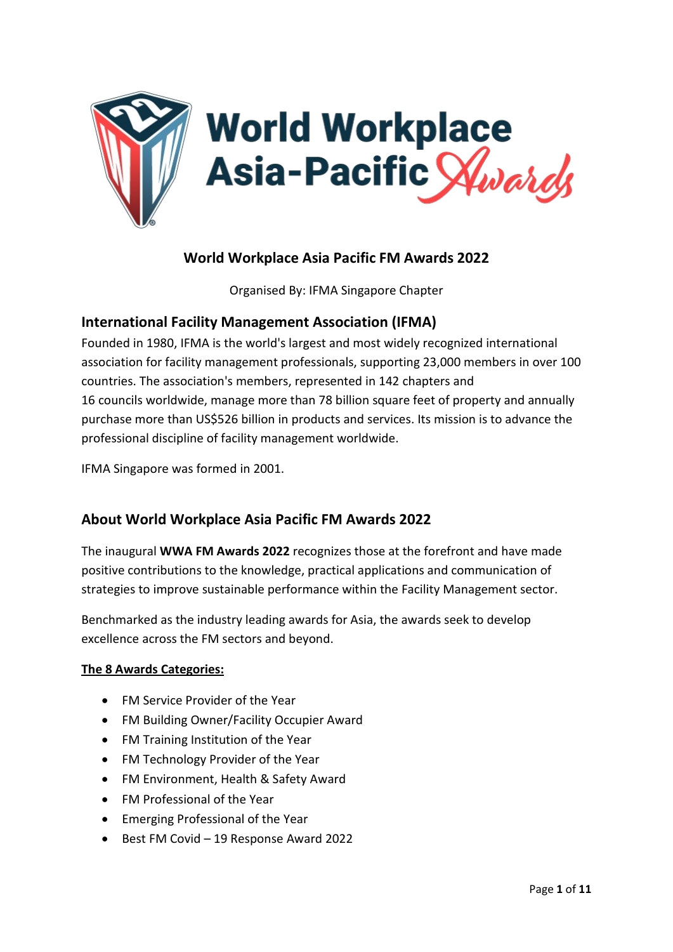

# **World Workplace Asia Pacific FM Awards 2022**

Organised By: IFMA Singapore Chapter

# **International Facility Management Association (IFMA)**

Founded in 1980, IFMA is the world's largest and most widely recognized international association for facility management professionals, supporting 23,000 members in over 100 countries. The association's members, represented in 142 [chapters](https://www.ifma.org/community/local-chapter-map) and 16 [councils](https://www.ifma.org/community/industry-councils) worldwide, manage more than 78 billion square feet of property and annually purchase more than US\$526 billion in products and services. Its mission is to advance the professional discipline of facility management worldwide.

IFMA Singapore was formed in 2001.

### **About World Workplace Asia Pacific FM Awards 2022**

The inaugural **WWA FM Awards 2022** recognizes those at the forefront and have made positive contributions to the knowledge, practical applications and communication of strategies to improve sustainable performance within the Facility Management sector.

Benchmarked as the industry leading awards for Asia, the awards seek to develop excellence across the FM sectors and beyond.

#### **The 8 Awards Categories:**

- FM Service Provider of the Year
- FM Building Owner/Facility Occupier Award
- FM Training Institution of the Year
- FM Technology Provider of the Year
- FM Environment, Health & Safety Award
- FM Professional of the Year
- Emerging Professional of the Year
- Best FM Covid 19 Response Award 2022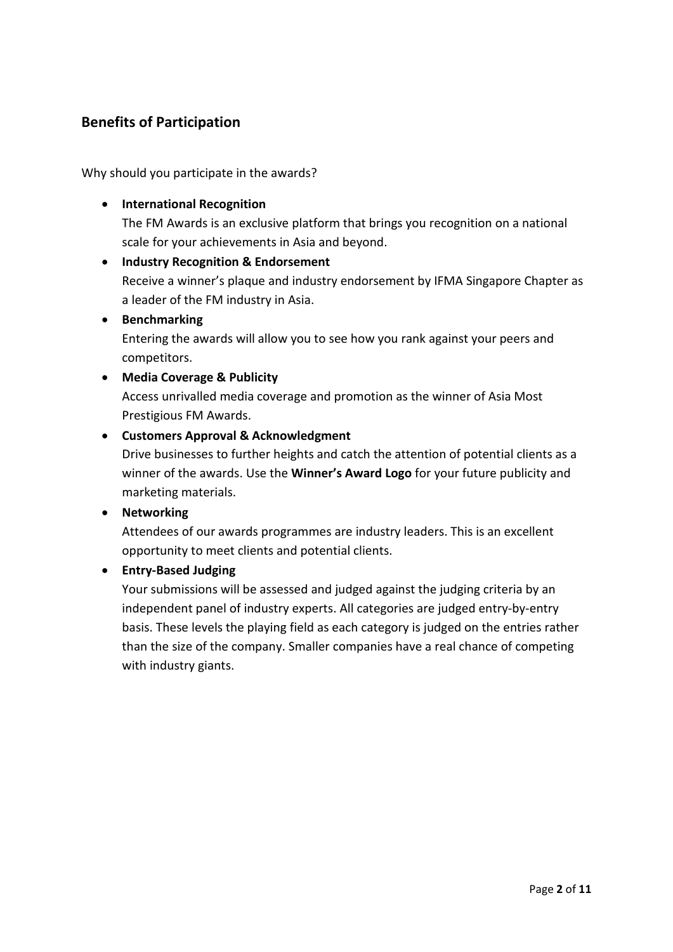## **Benefits of Participation**

Why should you participate in the awards?

• **International Recognition** 

The FM Awards is an exclusive platform that brings you recognition on a national scale for your achievements in Asia and beyond.

- **Industry Recognition & Endorsement**  Receive a winner's plaque and industry endorsement by IFMA Singapore Chapter as a leader of the FM industry in Asia.
- **Benchmarking**

Entering the awards will allow you to see how you rank against your peers and competitors.

• **Media Coverage & Publicity**

Access unrivalled media coverage and promotion as the winner of Asia Most Prestigious FM Awards.

• **Customers Approval & Acknowledgment**

Drive businesses to further heights and catch the attention of potential clients as a winner of the awards. Use the **Winner's Award Logo** for your future publicity and marketing materials.

• **Networking**

Attendees of our awards programmes are industry leaders. This is an excellent opportunity to meet clients and potential clients.

### • **Entry-Based Judging**

Your submissions will be assessed and judged against the judging criteria by an independent panel of industry experts. All categories are judged entry-by-entry basis. These levels the playing field as each category is judged on the entries rather than the size of the company. Smaller companies have a real chance of competing with industry giants.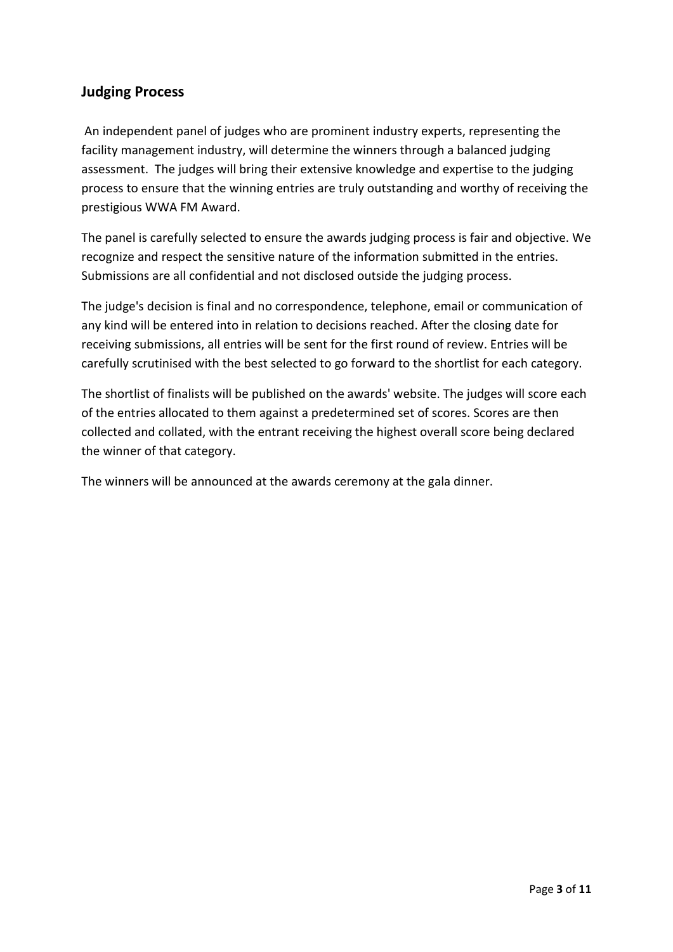## **Judging Process**

An independent panel of judges who are prominent industry experts, representing the facility management industry, will determine the winners through a balanced judging assessment. The judges will bring their extensive knowledge and expertise to the judging process to ensure that the winning entries are truly outstanding and worthy of receiving the prestigious WWA FM Award.

The panel is carefully selected to ensure the awards judging process is fair and objective. We recognize and respect the sensitive nature of the information submitted in the entries. Submissions are all confidential and not disclosed outside the judging process.

The judge's decision is final and no correspondence, telephone, email or communication of any kind will be entered into in relation to decisions reached. After the closing date for receiving submissions, all entries will be sent for the first round of review. Entries will be carefully scrutinised with the best selected to go forward to the shortlist for each category.

The shortlist of finalists will be published on the awards' website. The judges will score each of the entries allocated to them against a predetermined set of scores. Scores are then collected and collated, with the entrant receiving the highest overall score being declared the winner of that category.

The winners will be announced at the awards ceremony at the gala dinner.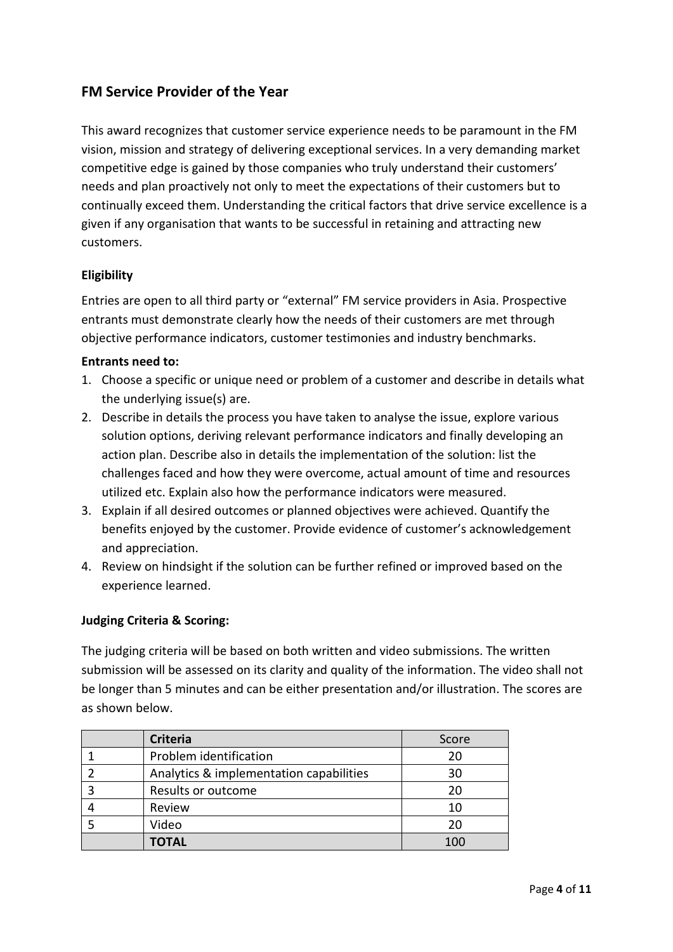## **FM Service Provider of the Year**

This award recognizes that customer service experience needs to be paramount in the FM vision, mission and strategy of delivering exceptional services. In a very demanding market competitive edge is gained by those companies who truly understand their customers' needs and plan proactively not only to meet the expectations of their customers but to continually exceed them. Understanding the critical factors that drive service excellence is a given if any organisation that wants to be successful in retaining and attracting new customers.

### **Eligibility**

Entries are open to all third party or "external" FM service providers in Asia. Prospective entrants must demonstrate clearly how the needs of their customers are met through objective performance indicators, customer testimonies and industry benchmarks.

#### **Entrants need to:**

- 1. Choose a specific or unique need or problem of a customer and describe in details what the underlying issue(s) are.
- 2. Describe in details the process you have taken to analyse the issue, explore various solution options, deriving relevant performance indicators and finally developing an action plan. Describe also in details the implementation of the solution: list the challenges faced and how they were overcome, actual amount of time and resources utilized etc. Explain also how the performance indicators were measured.
- 3. Explain if all desired outcomes or planned objectives were achieved. Quantify the benefits enjoyed by the customer. Provide evidence of customer's acknowledgement and appreciation.
- 4. Review on hindsight if the solution can be further refined or improved based on the experience learned.

#### **Judging Criteria & Scoring:**

| <b>Criteria</b>                         | Score |
|-----------------------------------------|-------|
| Problem identification                  | 20    |
| Analytics & implementation capabilities | 30    |
| Results or outcome                      | 20    |
| Review                                  | 10    |
| Video                                   | 20    |
| <b>TOTAL</b>                            | 100   |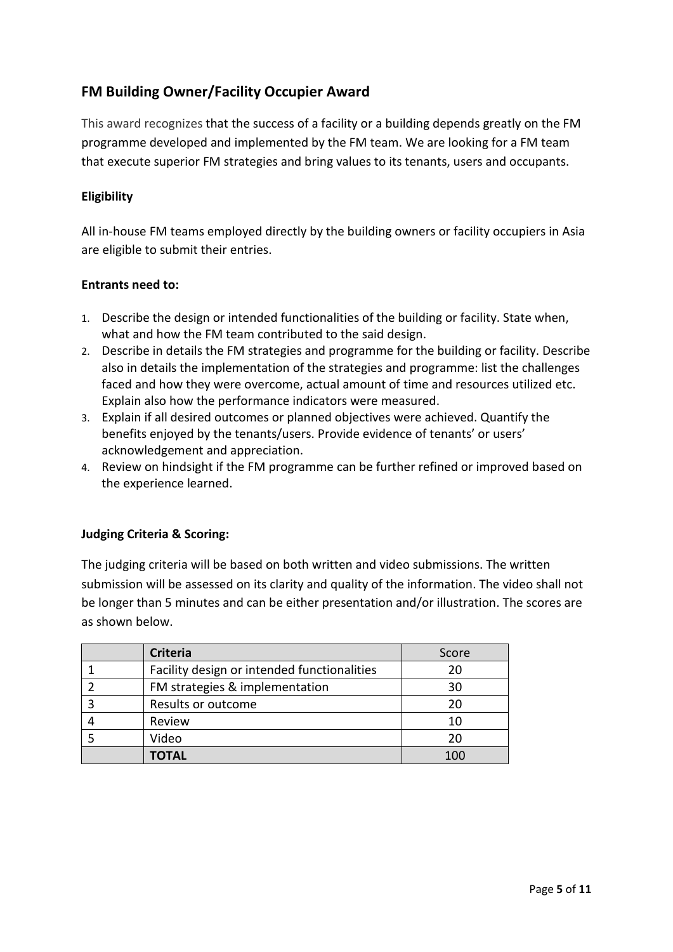# **FM Building Owner/Facility Occupier Award**

This award recognizes that the success of a facility or a building depends greatly on the FM programme developed and implemented by the FM team. We are looking for a FM team that execute superior FM strategies and bring values to its tenants, users and occupants.

### **Eligibility**

All in-house FM teams employed directly by the building owners or facility occupiers in Asia are eligible to submit their entries.

#### **Entrants need to:**

- 1. Describe the design or intended functionalities of the building or facility. State when, what and how the FM team contributed to the said design.
- 2. Describe in details the FM strategies and programme for the building or facility. Describe also in details the implementation of the strategies and programme: list the challenges faced and how they were overcome, actual amount of time and resources utilized etc. Explain also how the performance indicators were measured.
- 3. Explain if all desired outcomes or planned objectives were achieved. Quantify the benefits enjoyed by the tenants/users. Provide evidence of tenants' or users' acknowledgement and appreciation.
- 4. Review on hindsight if the FM programme can be further refined or improved based on the experience learned.

#### **Judging Criteria & Scoring:**

| <b>Criteria</b>                             | Score |
|---------------------------------------------|-------|
| Facility design or intended functionalities | 20    |
| FM strategies & implementation              | 30    |
| Results or outcome                          | 20    |
| Review                                      | 10    |
| Video                                       | 20    |
| <b>TOTAL</b>                                | 100   |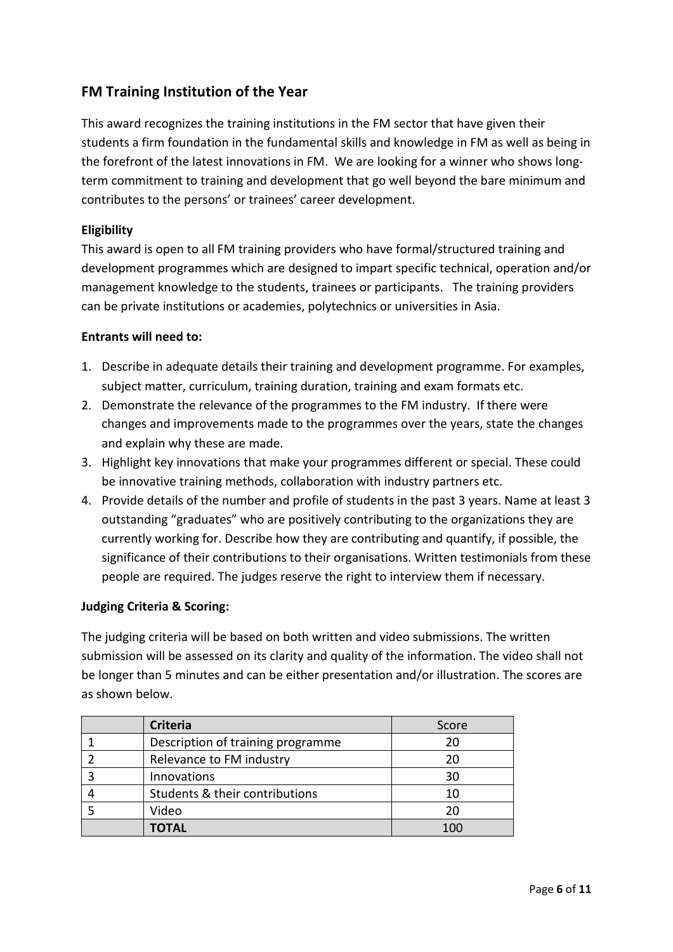## **FM Training Institution of the Year**

This award recognizes the training institutions in the FM sector that have given their students a firm foundation in the fundamental skills and knowledge in FM as well as being in the forefront of the latest innovations in FM. We are looking for a winner who shows longterm commitment to training and development that go well beyond the bare minimum and contributes to the persons' or trainees' career development.

#### **Eligibility**

This award is open to all FM training providers who have formal/structured training and development programmes which are designed to impart specific technical, operation and/or management knowledge to the students, trainees or participants. The training providers can be private institutions or academies, polytechnics or universities in Asia.

#### **Entrants will need to:**

- 1. Describe in adequate details their training and development programme. For examples, subject matter, curriculum, training duration, training and exam formats etc.
- 2. Demonstrate the relevance of the programmes to the FM industry. If there were changes and improvements made to the programmes over the years, state the changes and explain why these are made.
- 3. Highlight key innovations that make your programmes different or special. These could be innovative training methods, collaboration with industry partners etc.
- 4. Provide details of the number and profile of students in the past 3 years. Name at least 3 outstanding "graduates" who are positively contributing to the organizations they are currently working for. Describe how they are contributing and quantify, if possible, the significance of their contributions to their organisations. Written testimonials from these people are required. The judges reserve the right to interview them if necessary.

#### **Judging Criteria & Scoring:**

| <b>Criteria</b>                   | Score |
|-----------------------------------|-------|
| Description of training programme | 20    |
| Relevance to FM industry          | 20    |
| Innovations                       | 30    |
| Students & their contributions    | 10    |
| Video                             | 20    |
| <b>TOTAL</b>                      | 100   |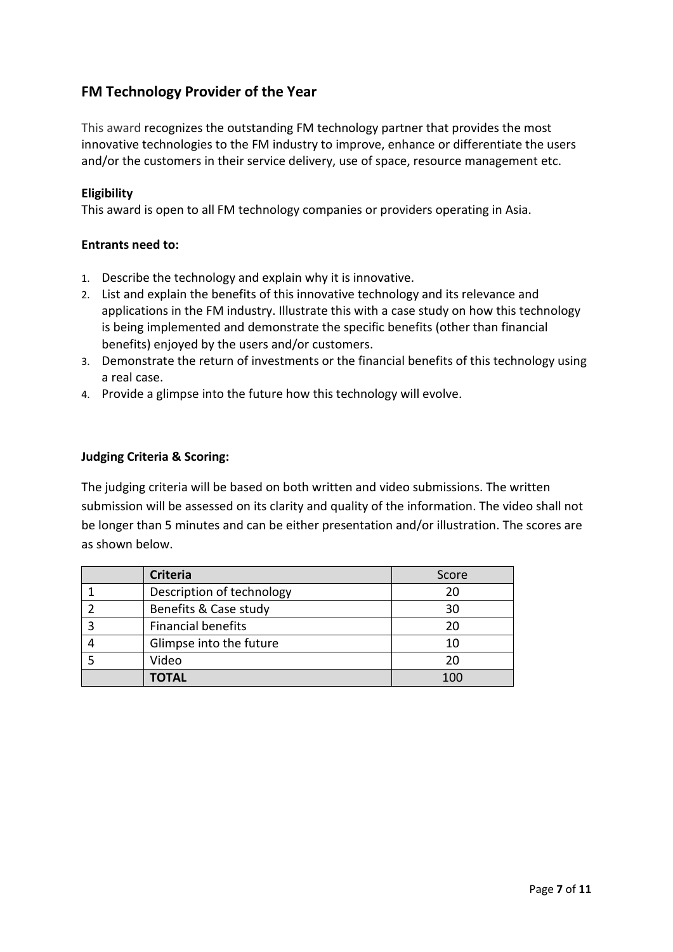## **FM Technology Provider of the Year**

This award recognizes the outstanding FM technology partner that provides the most innovative technologies to the FM industry to improve, enhance or differentiate the users and/or the customers in their service delivery, use of space, resource management etc.

### **Eligibility**

This award is open to all FM technology companies or providers operating in Asia.

#### **Entrants need to:**

- 1. Describe the technology and explain why it is innovative.
- 2. List and explain the benefits of this innovative technology and its relevance and applications in the FM industry. Illustrate this with a case study on how this technology is being implemented and demonstrate the specific benefits (other than financial benefits) enjoyed by the users and/or customers.
- 3. Demonstrate the return of investments or the financial benefits of this technology using a real case.
- 4. Provide a glimpse into the future how this technology will evolve.

### **Judging Criteria & Scoring:**

| <b>Criteria</b>           | Score |
|---------------------------|-------|
| Description of technology | 20    |
| Benefits & Case study     | 30    |
| <b>Financial benefits</b> | 20    |
| Glimpse into the future   | 10    |
| Video                     | 20    |
| <b>TOTAL</b>              | 100   |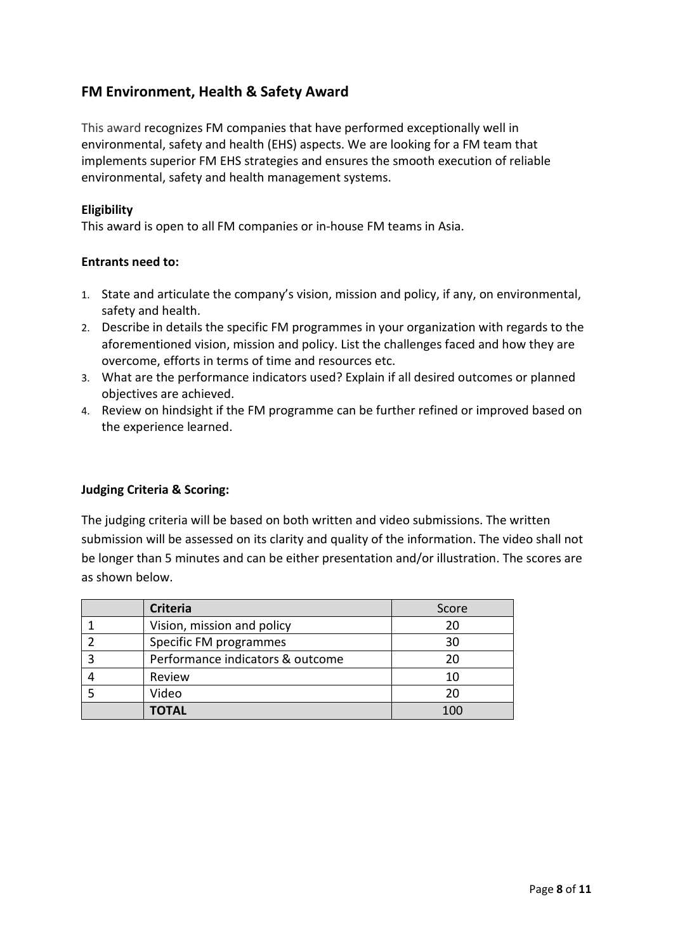## **FM Environment, Health & Safety Award**

This award recognizes FM companies that have performed exceptionally well in environmental, safety and health (EHS) aspects. We are looking for a FM team that implements superior FM EHS strategies and ensures the smooth execution of reliable environmental, safety and health management systems.

#### **Eligibility**

This award is open to all FM companies or in-house FM teams in Asia.

#### **Entrants need to:**

- 1. State and articulate the company's vision, mission and policy, if any, on environmental, safety and health.
- 2. Describe in details the specific FM programmes in your organization with regards to the aforementioned vision, mission and policy. List the challenges faced and how they are overcome, efforts in terms of time and resources etc.
- 3. What are the performance indicators used? Explain if all desired outcomes or planned objectives are achieved.
- 4. Review on hindsight if the FM programme can be further refined or improved based on the experience learned.

#### **Judging Criteria & Scoring:**

| <b>Criteria</b>                  | Score |
|----------------------------------|-------|
| Vision, mission and policy       | 20    |
| Specific FM programmes           | 30    |
| Performance indicators & outcome | 20    |
| Review                           | 10    |
| Video                            | 20    |
| <b>TOTAL</b>                     | 100   |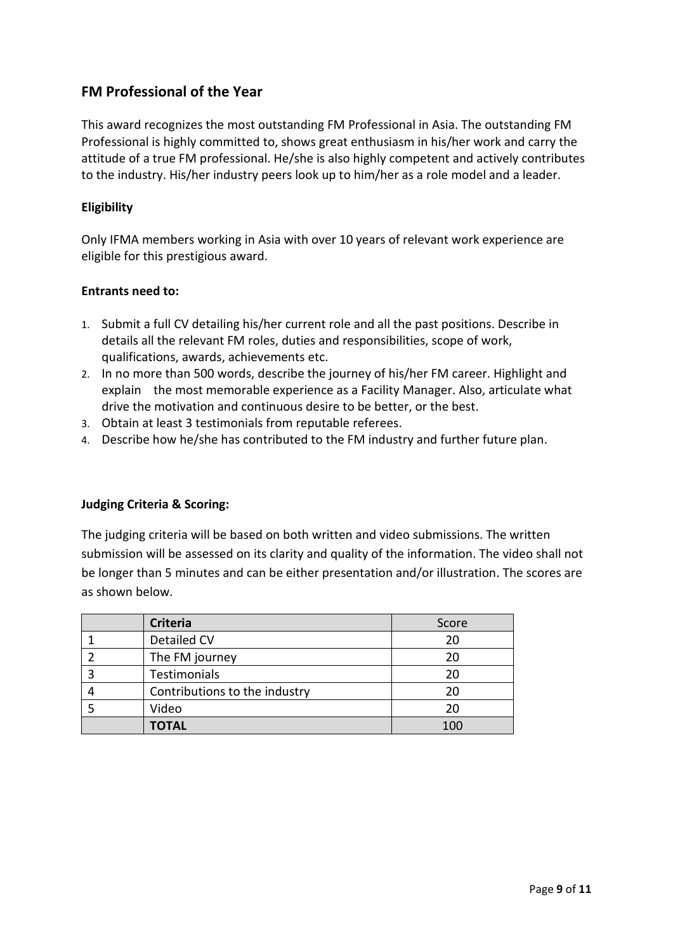### **FM Professional of the Year**

This award recognizes the most outstanding FM Professional in Asia. The outstanding FM Professional is highly committed to, shows great enthusiasm in his/her work and carry the attitude of a true FM professional. He/she is also highly competent and actively contributes to the industry. His/her industry peers look up to him/her as a role model and a leader.

### **Eligibility**

Only IFMA members working in Asia with over 10 years of relevant work experience are eligible for this prestigious award.

#### **Entrants need to:**

- 1. Submit a full CV detailing his/her current role and all the past positions. Describe in details all the relevant FM roles, duties and responsibilities, scope of work, qualifications, awards, achievements etc.
- 2. In no more than 500 words, describe the journey of his/her FM career. Highlight and explain the most memorable experience as a Facility Manager. Also, articulate what drive the motivation and continuous desire to be better, or the best.
- 3. Obtain at least 3 testimonials from reputable referees.
- 4. Describe how he/she has contributed to the FM industry and further future plan.

#### **Judging Criteria & Scoring:**

| <b>Criteria</b>               | Score |
|-------------------------------|-------|
| Detailed CV                   | 20    |
| The FM journey                | 20    |
| Testimonials                  | 20    |
| Contributions to the industry | 20    |
| Video                         | 20    |
| <b>TOTAL</b>                  | 100   |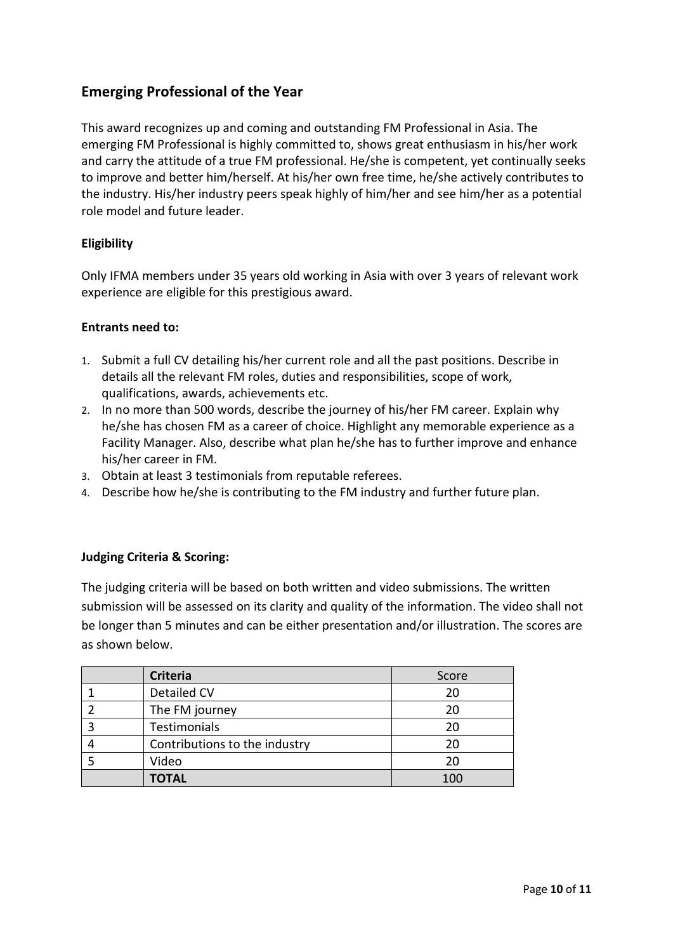## **Emerging Professional of the Year**

This award recognizes up and coming and outstanding FM Professional in Asia. The emerging FM Professional is highly committed to, shows great enthusiasm in his/her work and carry the attitude of a true FM professional. He/she is competent, yet continually seeks to improve and better him/herself. At his/her own free time, he/she actively contributes to the industry. His/her industry peers speak highly of him/her and see him/her as a potential role model and future leader.

### **Eligibility**

Only IFMA members under 35 years old working in Asia with over 3 years of relevant work experience are eligible for this prestigious award.

#### **Entrants need to:**

- 1. Submit a full CV detailing his/her current role and all the past positions. Describe in details all the relevant FM roles, duties and responsibilities, scope of work, qualifications, awards, achievements etc.
- 2. In no more than 500 words, describe the journey of his/her FM career. Explain why he/she has chosen FM as a career of choice. Highlight any memorable experience as a Facility Manager. Also, describe what plan he/she has to further improve and enhance his/her career in FM.
- 3. Obtain at least 3 testimonials from reputable referees.
- 4. Describe how he/she is contributing to the FM industry and further future plan.

#### **Judging Criteria & Scoring:**

| <b>Criteria</b>               | Score |
|-------------------------------|-------|
| Detailed CV                   | 20    |
| The FM journey                | 20    |
| Testimonials                  | 20    |
| Contributions to the industry | 20    |
| Video                         | 20    |
| <b>TOTAL</b>                  | 100   |